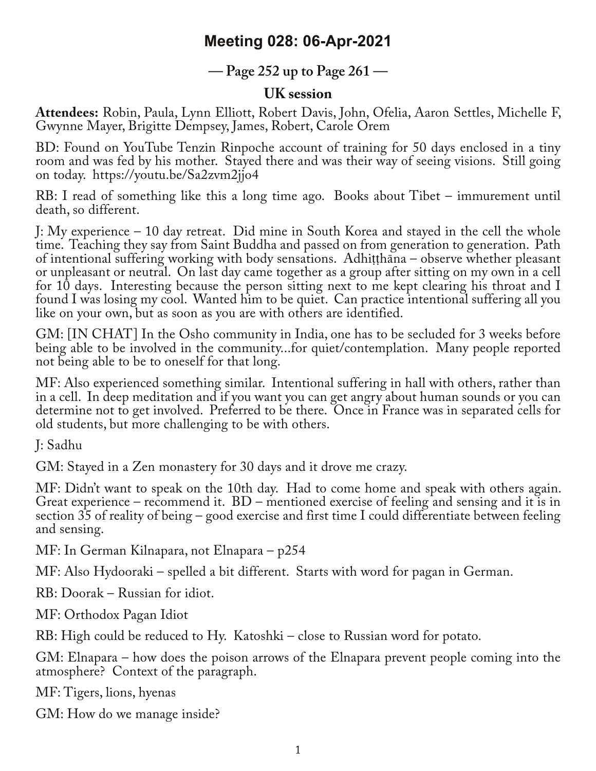## **Meeting 028: 06-Apr-2021**

## **— Page 252 up to Page 261 —**

## **UK session**

**Attendees:** Robin, Paula, Lynn Elliott, Robert Davis, John, Ofelia, Aaron Settles, Michelle F, Gwynne Mayer, Brigitte Dempsey, James, Robert, Carole Orem

BD: Found on YouTube Tenzin Rinpoche account of training for 50 days enclosed in a tiny room and was fed by his mother. Stayed there and was their way of seeing visions. Still going on today. https://youtu.be/Sa2zvm2jjo4

RB: I read of something like this a long time ago. Books about Tibet – immurement until death, so different.

J: My experience – 10 day retreat. Did mine in South Korea and stayed in the cell the whole time. Teaching they say from Saint Buddha and passed on from generation to generation. Path of intentional suffering working with body sensations. Adhitthāna – observe whether pleasant or unpleasant or neutral. On last day came together as a group after sitting on my own in a cell for 10 days. Interesting because the person sitting next to me kept clearing his throat and I found I was losing my cool. Wanted him to be quiet. Can practice intentional suffering all you like on your own, but as soon as you are with others are identified.

GM: [IN CHAT] In the Osho community in India, one has to be secluded for 3 weeks before being able to be involved in the community...for quiet/contemplation. Many people reported not being able to be to oneself for that long.

MF: Also experienced something similar. Intentional suffering in hall with others, rather than in a cell. In deep meditation and if you want you can get angry about human sounds or you can determine not to get involved. Preferred to be there. Once in France was in separated cells for old students, but more challenging to be with others.

J: Sadhu

GM: Stayed in a Zen monastery for 30 days and it drove me crazy.

MF: Didn't want to speak on the 10th day. Had to come home and speak with others again. Great experience – recommend it. BD – mentioned exercise of feeling and sensing and it is in section 35 of reality of being – good exercise and first time I could differentiate between feeling and sensing.

MF: In German Kilnapara, not Elnapara – p254

MF: Also Hydooraki – spelled a bit different. Starts with word for pagan in German.

RB: Doorak – Russian for idiot.

MF: Orthodox Pagan Idiot

RB: High could be reduced to Hy. Katoshki – close to Russian word for potato.

GM: Elnapara – how does the poison arrows of the Elnapara prevent people coming into the atmosphere? Context of the paragraph.

MF: Tigers, lions, hyenas

GM: How do we manage inside?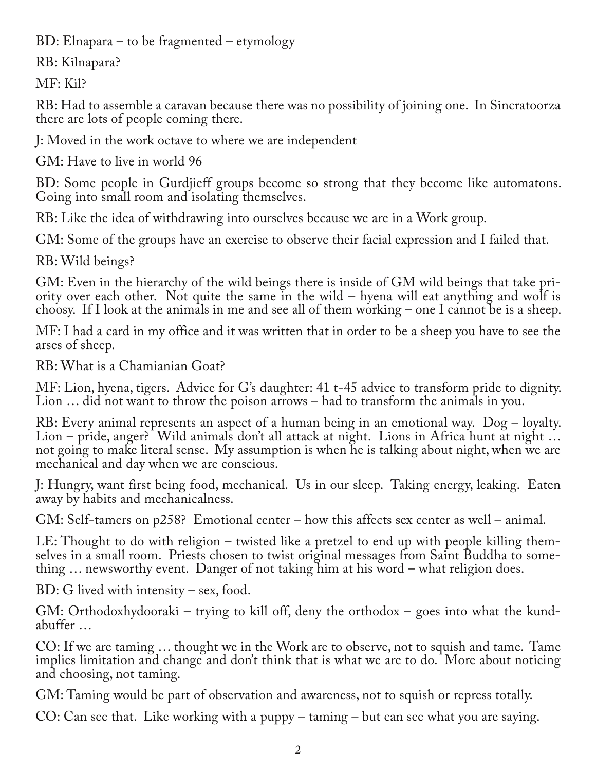BD: Elnapara – to be fragmented – etymology

RB: Kilnapara?

MF: Kil?

RB: Had to assemble a caravan because there was no possibility of joining one. In Sincratoorza there are lots of people coming there.

J: Moved in the work octave to where we are independent

GM: Have to live in world 96

BD: Some people in Gurdjieff groups become so strong that they become like automatons. Going into small room and isolating themselves.

RB: Like the idea of withdrawing into ourselves because we are in a Work group.

GM: Some of the groups have an exercise to observe their facial expression and I failed that.

RB: Wild beings?

GM: Even in the hierarchy of the wild beings there is inside of GM wild beings that take pri‐ ority over each other. Not quite the same in the wild – hyena will eat anything and wolf is choosy. If I look at the animals in me and see all of them working – one I cannot be is a sheep.

MF: I had a card in my office and it was written that in order to be a sheep you have to see the arses of sheep.

RB: What is a Chamianian Goat?

MF: Lion, hyena, tigers. Advice for G's daughter: 41 t-45 advice to transform pride to dignity. Lion … did not want to throw the poison arrows – had to transform the animals in you.

RB: Every animal represents an aspect of a human being in an emotional way. Dog – loyalty. Lion – pride, anger? Wild animals don't all attack at night. Lions in Africa hunt at night ... not going to make literal sense. My assumption is when he is talking about night, when we are mechanical and day when we are conscious.

J: Hungry, want first being food, mechanical. Us in our sleep. Taking energy, leaking. Eaten away by habits and mechanicalness.

GM: Self-tamers on p258? Emotional center – how this affects sex center as well – animal.

LE: Thought to do with religion – twisted like a pretzel to end up with people killing themselves in a small room. Priests chosen to twist original messages from Saint Buddha to something ... newsworthy event. Danger of no

BD: G lived with intensity – sex, food.

GM: Orthodoxhydooraki – trying to kill off, deny the orthodox – goes into what the kund‐ abuffer …

CO: If we are taming … thought we in the Work are to observe, not to squish and tame. Tame implies limitation and change and don't think that is what we are to do. More about noticing and choosing, not taming.

GM: Taming would be part of observation and awareness, not to squish or repress totally.

CO: Can see that. Like working with a puppy – taming – but can see what you are saying.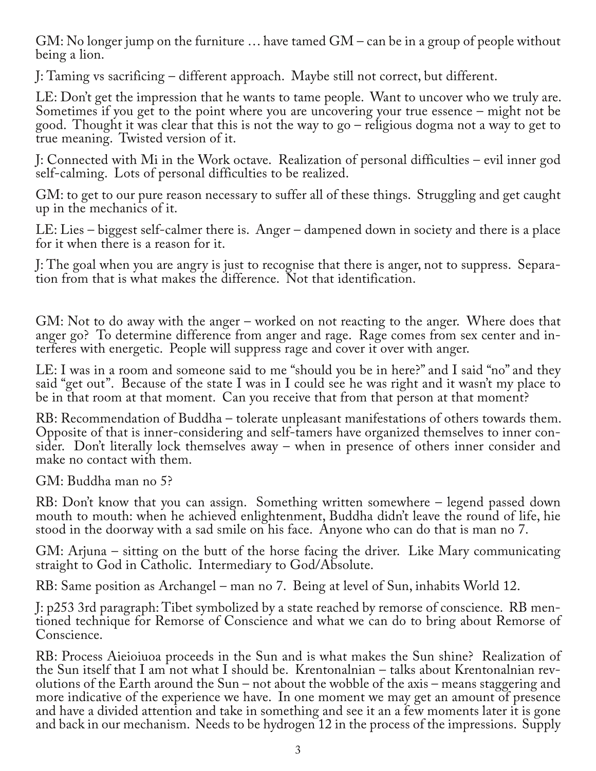GM: No longer jump on the furniture … have tamed GM – can be in a group of people without being a lion.

J: Taming vs sacrificing – different approach. Maybe still not correct, but different.

LE: Don't get the impression that he wants to tame people. Want to uncover who we truly are. Sometimes if you get to the point where you are uncovering your true essence – might not be good. Thought it was clear that this is not the way to go – religious dogma not a way to get to true meaning. Twisted version of it.

J: Connected with Mi in the Work octave. Realization of personal difficulties – evil inner god self-calming. Lots of personal difficulties to be realized.

GM: to get to our pure reason necessary to suffer all of these things. Struggling and get caught up in the mechanics of it.

LE: Lies – biggest self-calmer there is. Anger – dampened down in society and there is a place for it when there is a reason for it.

J: The goal when you are angry is just to recognise that there is anger, not to suppress. Separa‐ tion from that is what makes the difference. Not that identification.

GM: Not to do away with the anger – worked on not reacting to the anger. Where does that anger go? To determine difference from anger and rage. Rage comes from sex center and in‐ terferes with energetic. People will suppress rage and cover it over with anger.

LE: I was in a room and someone said to me "should you be in here?" and I said "no" and they said "get out". Because of the state I was in I could see he was right and it wasn't my place to be in that room at that moment. Can you receive that from that person at that moment?

RB: Recommendation of Buddha – tolerate unpleasant manifestations of others towards them. Opposite of that is inner-considering and self-tamers have organized themselves to inner con‐ sider. Don't literally lock themselves away – when in presence of others inner consider and make no contact with them.

GM: Buddha man no 5?

RB: Don't know that you can assign. Something written somewhere – legend passed down mouth to mouth: when he achieved enlightenment, Buddha didn't leave the round of life, hie stood in the doorway with a sad smile on his face. Anyone who can do that is man no 7.

GM: Arjuna – sitting on the butt of the horse facing the driver. Like Mary communicating straight to God in Catholic. Intermediary to God/Absolute.

RB: Same position as Archangel – man no 7. Being at level of Sun, inhabits World 12.

J: p253 3rd paragraph: Tibet symbolized by a state reached by remorse of conscience. RB men‐ tioned technique for Remorse of Conscience and what we can do to bring about Remorse of Conscience.

RB: Process Aieioiuoa proceeds in the Sun and is what makes the Sun shine? Realization of the Sun itself that I am not what I should be. Krentonalnian – talks about Krentonalnian revolutions of the Earth around the Sun – not about the wobble of the axis – means staggering and more indicative of the experience we have. In one moment we may get an amount of presence and have a divided attention and take in something and see it an a few moments later it is gone and back in our mechanism. Needs to be hydrogen 12 in the process of the impressions. Supply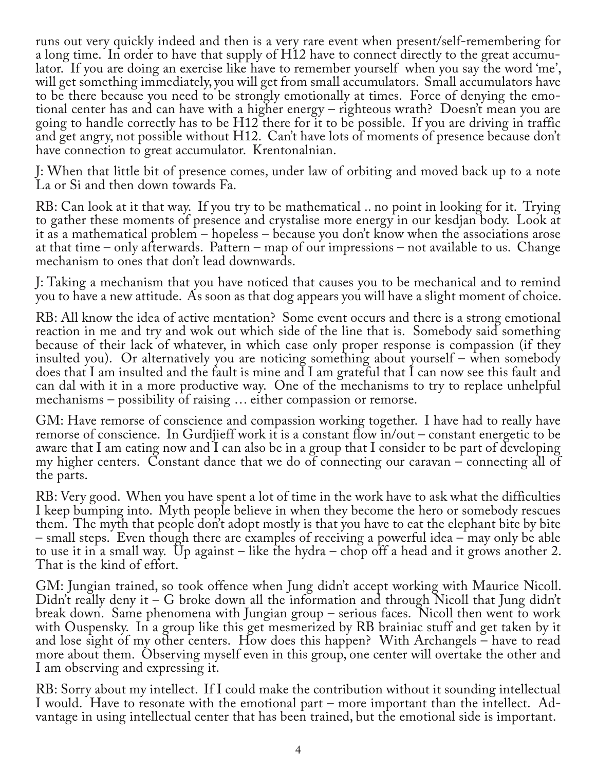runs out very quickly indeed and then is a very rare event when present/self-remembering for a long time. In order to have that supply of H12 have to connect directly to the great accumu‐ lator. If you are doing an exercise like have to remember yourself when you say the word 'me', will get something immediately, you will get from small accumulators. Small accumulators have to be there because you need to be strongly emotionally at times. Force of denying the emo‐ tional center has and can have with a higher energy – righteous wrath? Doesn't mean you are going to handle correctly has to be H12 there for it to be possible. If you are driving in traffic and get angry, not possible without H12. Can't have lots of moments of presence because don't have connection to great accumulator. Krentonalnian.

J: When that little bit of presence comes, under law of orbiting and moved back up to a note La or Si and then down towards Fa.

RB: Can look at it that way. If you try to be mathematical .. no point in looking for it. Trying to gather these moments of presence and crystalise more energy in our kesdjan body. Look at it as a mathematical problem – hopeless – because you don't know when the associations arose at that time – only afterwards. Pattern – map of our impressions – not available to us. Change mechanism to ones that don't lead downwards.

J: Taking a mechanism that you have noticed that causes you to be mechanical and to remind you to have a new attitude. As soon as that dog appears you will have a slight moment of choice.

RB: All know the idea of active mentation? Some event occurs and there is a strong emotional reaction in me and try and wok out which side of the line that is. Somebody said something because of their lack of whatever, in which case only proper response is compassion (if they insulted you). Or alternatively you are noticing something about yourself – when somebody does that I am insulted and the fault is mine and I am grateful that I can now see this fault and can dal with it in a more productive way. One of the mechanisms to try to replace unhelpful mechanisms – possibility of raising … either compassion or remorse.

GM: Have remorse of conscience and compassion working together. I have had to really have remorse of conscience. In Gurdjieff work it is a constant flow in/out – constant energetic to be aware that I am eating now and I can also be in a group that I consider to be part of developing my higher centers. Constant dance that we do of connecting our caravan – connecting all of the parts.

RB: Very good. When you have spent a lot of time in the work have to ask what the difficulties I keep bumping into. Myth people believe in when they become the hero or somebody rescues them. The myth that people don't adopt mostly is that you have to eat the elephant bite by bite – small steps. Even though there are examples of receiving a powerful idea – may only be able to use it in a small way. Up against – like the hydra – chop off a head and it grows another 2. That is the kind of effort.

GM: Jungian trained, so took offence when Jung didn't accept working with Maurice Nicoll. Didn't really deny it – G broke down all the information and through Nicoll that Jung didn't break down. Same phenomena with Jungian group – serious faces. Nicoll then went to work with Ouspensky. In a group like this get mesmerized by RB brainiac stuff and get taken by it and lose sight of my other centers. How does this happen? With Archangels – have to read more about them. Observing myself even in this group, one center will overtake the other and I am observing and expressing it.

RB: Sorry about my intellect. If I could make the contribution without it sounding intellectual I would. Have to resonate with the emotional part – more important than the intellect. Advantage in using intellectual center that has been trained, but the emotional side is important.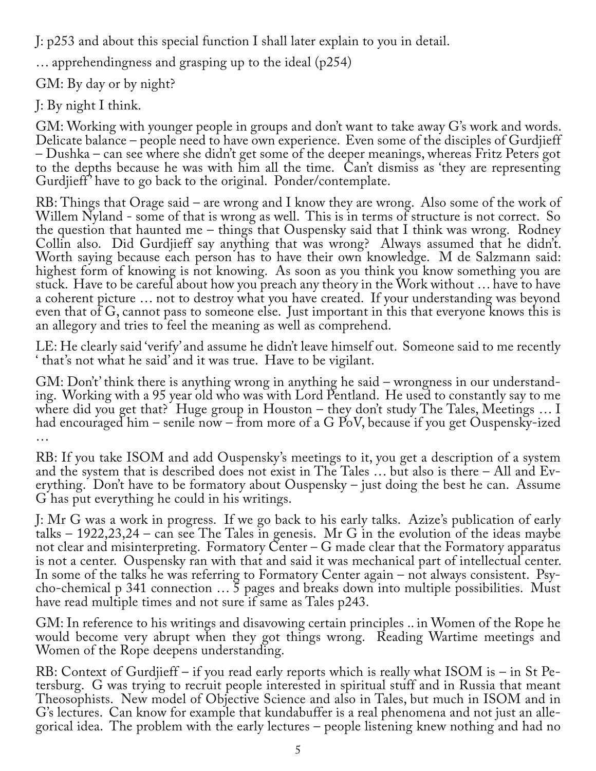J: p253 and about this special function I shall later explain to you in detail.

… apprehendingness and grasping up to the ideal (p254)

GM: By day or by night?

J: By night I think.

GM: Working with younger people in groups and don't want to take away G's work and words. Delicate balance – people need to have own experience. Even some of the disciples of Gurdjieff – Dushka – can see where she didn't get some of the deeper meanings, whereas Fritz Peters got to the depths because he was with him all the time. Can't dismiss as 'they are representing Gurdjieff ' have to go back to the original. Ponder/contemplate.

RB: Things that Orage said – are wrong and I know they are wrong. Also some of the work of Willem Nyland - some of that is wrong as well. This is in terms of structure is not correct. So the question that haunted me – things that Ouspensky said that I think was wrong. Rodney Collin also. Did Gurdjieff say anything that was wrong? Always assumed that he didn't. Worth saying because each person has to have their own knowledge. M de Salzmann said: highest form of knowing is not knowing. As soon as you think you know something you are stuck. Have to be careful about how you preach any theory in the Work without … have to have a coherent picture … not to destroy what you have created. If your understanding was beyond even that of G, cannot pass to someone else. Just important in this that everyone knows this is an allegory and tries to feel the meaning as well as comprehend.

LE: He clearly said 'verify' and assume he didn't leave himself out. Someone said to me recently ' that's not what he said' and it was true. Have to be vigilant.

GM: Don't' think there is anything wrong in anything he said – wrongness in our understand‐ ing. Working with a 95 year old who was with Lord Pentland. He used to constantly say to me where did you get that? Huge group in Houston – they don't study The Tales, Meetings ... I had encouraged him – senile now – from more of a G PoV, because if you get Ouspensky-ized …

RB: If you take ISOM and add Ouspensky's meetings to it, you get a description of a system and the system that is described does not exist in The Tales ... but also is there - All and Everything. Don't have to be formatory about Ouspensky – just doing the best he can. Assume G has put everything he could in his writings.

J: Mr G was a work in progress. If we go back to his early talks. Azize's publication of early talks – 1922,23,24 – can see The Tales in genesis. Mr G in the evolution of the ideas maybe not clear and misinterpreting. Formatory Center – G made clear that the Formatory apparatus is not a center. Ouspensky ran with that and said it was mechanical part of intellectual center.<br>In some of the talks he was referring to Formatory Center again – not always consistent. Psycho-chemical p 341 connection … 5 pages and breaks down into multiple possibilities. Must have read multiple times and not sure if same as Tales p243.

GM: In reference to his writings and disavowing certain principles .. in Women of the Rope he would become very abrupt when they got things wrong. Reading Wartime meetings and Women of the Rope deepens understanding.

RB: Context of Gurdjieff – if you read early reports which is really what ISOM is – in St Pe-<br>tersburg. G was trying to recruit people interested in spiritual stuff and in Russia that meant Theosophists. New model of Objective Science and also in Tales, but much in ISOM and in<br>G's lectures. Can know for example that kundabuffer is a real phenomena and not just an allegorical idea. The problem with the early lectures – people listening knew nothing and had no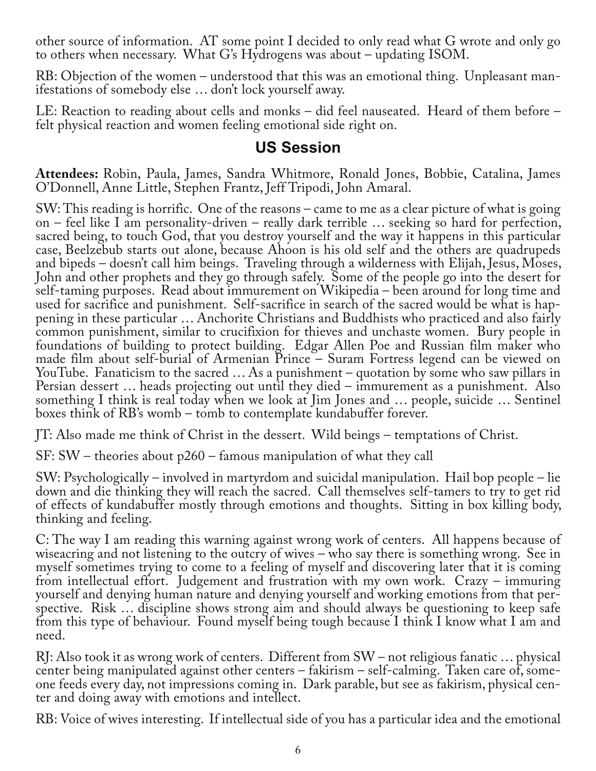other source of information. AT some point I decided to only read what G wrote and only go to others when necessary. What G's Hydrogens was about – updating ISOM.

RB: Objection of the women – understood that this was an emotional thing. Unpleasant manifestations of somebody else … don't lock yourself away.

LE: Reaction to reading about cells and monks – did feel nauseated. Heard of them before – felt physical reaction and women feeling emotional side right on.

## **US Session**

**Attendees:** Robin, Paula, James, Sandra Whitmore, Ronald Jones, Bobbie, Catalina, James O'Donnell, Anne Little, Stephen Frantz, Jeff Tripodi, John Amaral.

SW: This reading is horrific. One of the reasons – came to me as a clear picture of what is going on – feel like I am personality-driven – really dark terrible … seeking so hard for perfection, sacred being, to touch God, that you destroy yourself and the way it happens in this particular case, Beelzebub starts out alone, because Ahoon is his old self and the others are quadrupeds and bipeds – doesn't call him beings. Traveling through a wilderness with Elijah, Jesus, Moses, John and other prophets and they go through safely. Some of the people go into the desert for self-taming purposes. Read about immurement on Wikipedia – been around for long time and used for sacrifice and punishment. Self-sacrifice in search of the sacred would be what is happening in these particular … Anchorite Christians and Buddhists who practiced and also fairly common punishment, similar to crucifixion for thieves and unchaste women. Bury people in foundations of building to protect building. Edgar Allen Poe and Russian film maker who made film about self-burial of Armenian Prince – Suram Fortress legend can be viewed on YouTube. Fanaticism to the sacred … As a punishment – quotation by some who saw pillars in Persian dessert … heads projecting out until they died – immurement as a punishment. Also something I think is real today when we look at Jim Jones and … people, suicide … Sentinel boxes think of RB's womb – tomb to contemplate kundabuffer forever.

JT: Also made me think of Christ in the dessert. Wild beings – temptations of Christ.

SF: SW – theories about p260 – famous manipulation of what they call

SW: Psychologically – involved in martyrdom and suicidal manipulation. Hail bop people – lie down and die thinking they will reach the sacred. Call themselves self-tamers to try to get rid of effects of kundabuffer mostly through emotions and thoughts. Sitting in box killing body, thinking and feeling.

C: The way I am reading this warning against wrong work of centers. All happens because of wiseacring and not listening to the outcry of wives – who say there is something wrong. See in myself sometimes trying to come to a feeling of myself and discovering later that it is coming from intellectual effort. Judgement and frustration with my own work. Crazy – immuring yourself and denying human nature and denying yourself and working emotions from that per‐ spective. Risk … discipline shows strong aim and should always be questioning to keep safe from this type of behaviour. Found myself being tough because I think I know what I am and need.

RJ: Also took it as wrong work of centers. Different from SW – not religious fanatic … physical center being manipulated against other centers – fakirism – self-calming. Taken care of, some‐ one feeds every day, not impressions coming in. Dark parable, but see as fakirism, physical cen‐ ter and doing away with emotions and intellect.

RB: Voice of wives interesting. If intellectual side of you has a particular idea and the emotional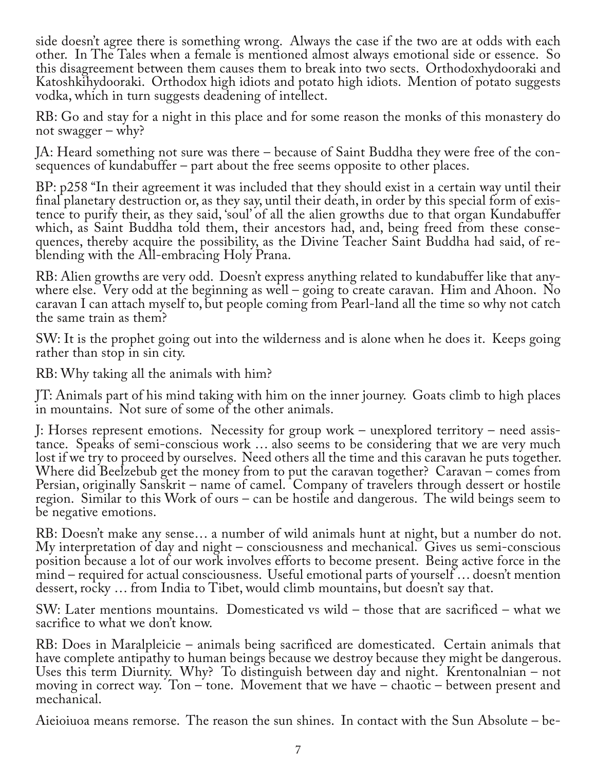side doesn't agree there is something wrong. Always the case if the two are at odds with each other. In The Tales when a female is mentioned almost always emotional side or essence. So this disagreement between them causes them to break into two sects. Orthodoxhydooraki and Katoshkihydooraki. Orthodox high idiots and potato high idiots. Mention of potato suggests vodka, which in turn suggests deadening of intellect.

RB: Go and stay for a night in this place and for some reason the monks of this monastery do not swagger – why?

JA: Heard something not sure was there – because of Saint Buddha they were free of the con‐ sequences of kundabuffer – part about the free seems opposite to other places.

BP: p258 "In their agreement it was included that they should exist in a certain way until their<br>final planetary destruction or, as they say, until their death, in order by this special form of existence to purify their, as they said, 'soul' of all the alien growths due to that organ Kundabuffer which, as Saint Buddha told them, their ancestors had, and, being freed from these consequences, thereby acquire the possibility, as the Divine Teacher Saint Buddha had said, of re-<br>blending with the All-embracing Holy Prana.

RB: Alien growths are very odd. Doesn't express anything related to kundabuffer like that any‐ where else. Very odd at the beginning as well – going to create caravan. Him and Ahoon. No caravan I can attach myself to, but people coming from Pearl-land all the time so why not catch the same train as them?

SW: It is the prophet going out into the wilderness and is alone when he does it. Keeps going rather than stop in sin city.

RB: Why taking all the animals with him?

JT: Animals part of his mind taking with him on the inner journey. Goats climb to high places in mountains. Not sure of some of the other animals.

J: Horses represent emotions. Necessity for group work – unexplored territory – need assis‐ tance. Speaks of semi-conscious work … also seems to be considering that we are very much lost if we try to proceed by ourselves. Need others all the time and this caravan he puts together. Where did Beelzebub get the money from to put the caravan together? Caravan – comes from Persian, originally Sanskrit – name of camel. Company of travelers through dessert or hostile region. Similar to this Work of ours – can be hostile and dangerous. The wild beings seem to be negative emotions.

RB: Doesn't make any sense… a number of wild animals hunt at night, but a number do not. My interpretation of day and night – consciousness and mechanical. Gives us semi-conscious position because a lot of our work involves efforts to become present. Being active force in the mind – required for actual consciousness. Useful emotional parts of yourself … doesn't mention dessert, rocky … from India to Tibet, would climb mountains, but doesn't say that.

SW: Later mentions mountains. Domesticated vs wild – those that are sacrificed – what we sacrifice to what we don't know.

RB: Does in Maralpleicie – animals being sacrificed are domesticated. Certain animals that have complete antipathy to human beings because we destroy because they might be dangerous. Uses this term Diurnity. Why? To distinguish between day and night. Krentonalnian – not moving in correct way. Ton – tone. Movement that we have – chaotic – between present and mechanical.

Aieioiuoa means remorse. The reason the sun shines. In contact with the Sun Absolute – be‐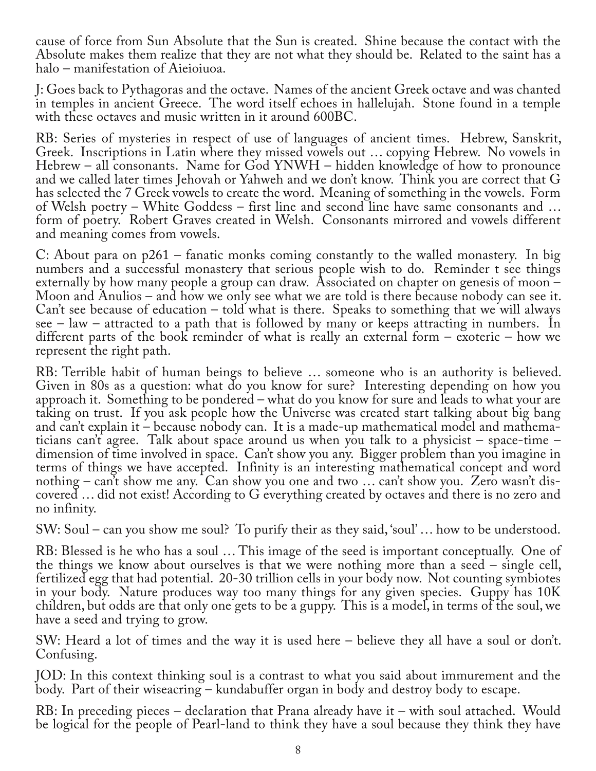cause of force from Sun Absolute that the Sun is created. Shine because the contact with the Absolute makes them realize that they are not what they should be. Related to the saint has a halo – manifestation of Aieioiuoa.

J: Goes back to Pythagoras and the octave. Names of the ancient Greek octave and was chanted in temples in ancient Greece. The word itself echoes in hallelujah. Stone found in a temple with these octaves and music written in it around 600BC.

RB: Series of mysteries in respect of use of languages of ancient times. Hebrew, Sanskrit, Greek. Inscriptions in Latin where they missed vowels out … copying Hebrew. No vowels in Hebrew – all consonants. Name for God YNWH – hidden knowledge of how to pronounce and we called later times Jehovah or Yahweh and we don't know. Think you are correct that G has selected the 7 Greek vowels to create the word. Meaning of something in the vowels. Form of Welsh poetry – White Goddess – first line and second line have same consonants and … form of poetry. Robert Graves created in Welsh. Consonants mirrored and vowels different and meaning comes from vowels.

C: About para on p261 – fanatic monks coming constantly to the walled monastery. In big numbers and a successful monastery that serious people wish to do. Reminder t see things externally by how many people a group can draw. Associated on chapter on genesis of moon – Moon and Anulios – and how we only see what we are told is there because nobody can see it. Can't see because of education – told what is there. Speaks to something that we will always see – law – attracted to a path that is followed by many or keeps attracting in numbers. In different parts of the book reminder of what is really an external form – exoteric – how we represent the right path.

RB: Terrible habit of human beings to believe … someone who is an authority is believed. Given in 80s as a question: what do you know for sure? Interesting depending on how you approach it. Something to be pondered – what do you know for sure and leads to what your are taking on trust. If you ask people how the Universe was created start talking about big bang and can't explain it – because nobody can. It is a made-up mathematical model and mathema‐ ticians can't agree. Talk about space around us when you talk to a physicist – space-time – dimension of time involved in space. Can't show you any. Bigger problem than you imagine in terms of things we have accepted. Infinity is an interesting mathematical concept and word nothing – can't show me any. Can show you one and two ... can't show you. Zero wasn't discovered … did not exist! According to G everything created by octaves and there is no zero and no infinity.

SW: Soul – can you show me soul? To purify their as they said, 'soul'… how to be understood.

RB: Blessed is he who has a soul … This image of the seed is important conceptually. One of the things we know about ourselves is that we were nothing more than a seed – single cell, fertilized egg that had potential. 20-30 trillion cells in your body now. Not counting symbiotes in your body. Nature produces way too many things for any given species. Guppy has 10K children, but odds are that only one gets to be a guppy. This is a model, in terms of the soul, we have a seed and trying to grow.

SW: Heard a lot of times and the way it is used here – believe they all have a soul or don't. Confusing.

JOD: In this context thinking soul is a contrast to what you said about immurement and the body. Part of their wiseacring – kundabuffer organ in body and destroy body to escape.

RB: In preceding pieces – declaration that Prana already have it – with soul attached. Would be logical for the people of Pearl-land to think they have a soul because they think they have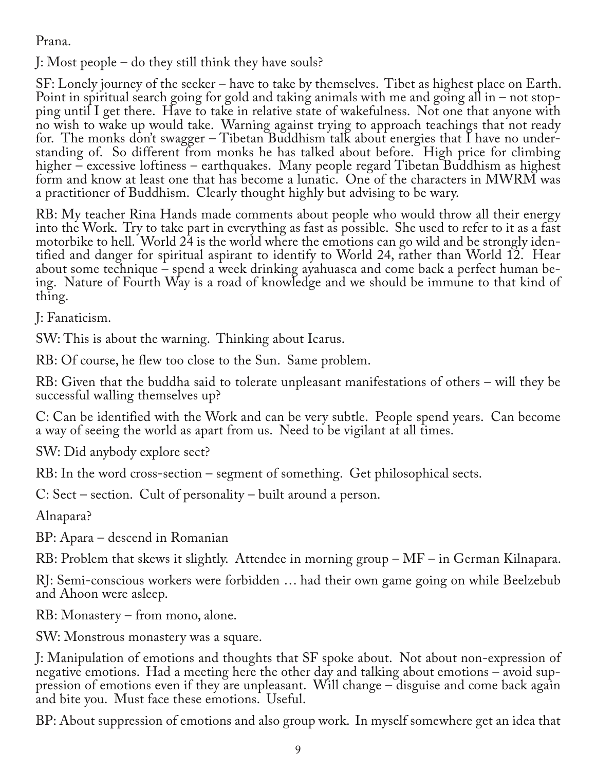Prana.

J: Most people – do they still think they have souls?

SF: Lonely journey of the seeker – have to take by themselves. Tibet as highest place on Earth. Point in spiritual search going for gold and taking animals with me and going all in – not stop‐ ping until I get there. Have to take in relative state of wakefulness. Not one that anyone with no wish to wake up would take. Warning against trying to approach teachings that not ready for. The monks don't swagger – Tibetan Buddhism talk about energies that  $\overline{I}$  have no understanding of. So different from monks he has talked about before. High price for climbing higher – excessive loftiness – earthquakes. Many people regard Tibetan Buddhism as highest form and know at least one that has become a lunatic. One of the characters in MWRM was a practitioner of Buddhism. Clearly thought highly but advising to be wary.

RB: My teacher Rina Hands made comments about people who would throw all their energy into the Work. Try to take part in everything as fast as possible. She used to refer to it as a fast tified and danger for spiritual aspirant to identify to World 24, rather than World 12. Hear about some technique – spend a week drinking ayahuasca and come back a perfect human be‐ ing. Nature of Fourth Way is a road of knowledge and we should be immune to that kind of thing.

J: Fanaticism.

SW: This is about the warning. Thinking about Icarus.

RB: Of course, he flew too close to the Sun. Same problem.

RB: Given that the buddha said to tolerate unpleasant manifestations of others – will they be successful walling themselves up?

C: Can be identified with the Work and can be very subtle. People spend years. Can become a way of seeing the world as apart from us. Need to be vigilant at all times.

SW: Did anybody explore sect?

RB: In the word cross-section – segment of something. Get philosophical sects.

C: Sect – section. Cult of personality – built around a person.

Alnapara?

BP: Apara – descend in Romanian

RB: Problem that skews it slightly. Attendee in morning group – MF – in German Kilnapara.

RJ: Semi-conscious workers were forbidden … had their own game going on while Beelzebub and Ahoon were asleep.

RB: Monastery – from mono, alone.

SW: Monstrous monastery was a square.

J: Manipulation of emotions and thoughts that SF spoke about. Not about non-expression of pression of emotions even if they are unpleasant. Will change – disguise and come back again and bite you. Must face these emotions. Useful.

BP: About suppression of emotions and also group work. In myself somewhere get an idea that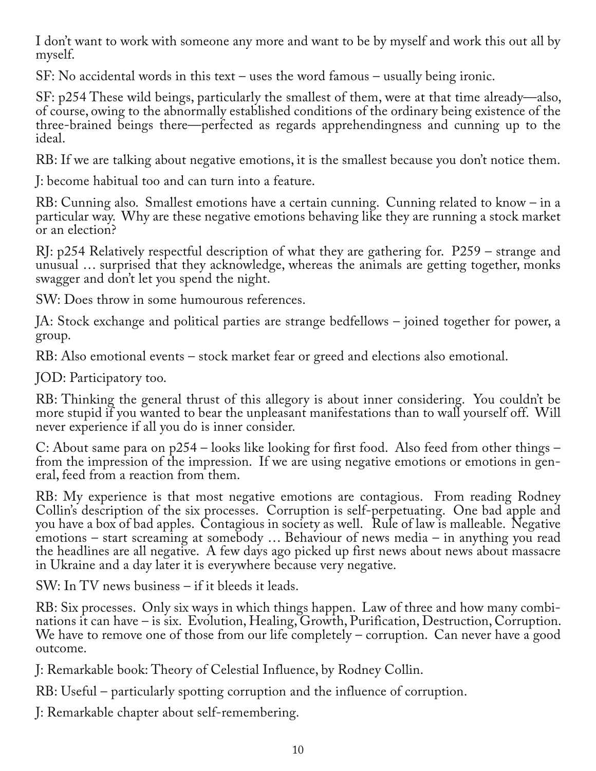I don't want to work with someone any more and want to be by myself and work this out all by myself.

SF: No accidental words in this text – uses the word famous – usually being ironic.

SF: p254 These wild beings, particularly the smallest of them, were at that time already—also, of course, owing to the abnormally established conditions of the ordinary being existence of the three-brained beings there—perfected as regards apprehendingness and cunning up to the ideal.

RB: If we are talking about negative emotions, it is the smallest because you don't notice them.

J: become habitual too and can turn into a feature.

RB: Cunning also. Smallest emotions have a certain cunning. Cunning related to know – in a particular way. Why are these negative emotions behaving like they are running a stock market or an election?

RJ: p254 Relatively respectful description of what they are gathering for. P259 – strange and unusual … surprised that they acknowledge, whereas the animals are getting together, monks swagger and don't let you spend the night.

SW: Does throw in some humourous references.

JA: Stock exchange and political parties are strange bedfellows – joined together for power, a group.

RB: Also emotional events – stock market fear or greed and elections also emotional.

JOD: Participatory too.

RB: Thinking the general thrust of this allegory is about inner considering. You couldn't be more stupid if you wanted to bear the unpleasant manifestations than to wall yourself off. Will never experience if all you do is inner consider.

C: About same para on p254 – looks like looking for first food. Also feed from other things – from the impression of the impression. If we are using negative emotions or emotions in general, feed from a reaction from them.

RB: My experience is that most negative emotions are contagious. From reading Rodney Collin's description of the six processes. Corruption is self-perpetuating. One bad apple and you have a box of bad apples. Contagious in society as well. Rule of law is malleable. Negative emotions – start screaming at somebody … Behaviour of news media – in anything you read the headlines are all negative. A few days ago picked up first news about news about massacre in Ukraine and a day later it is everywhere because very negative.

SW: In TV news business – if it bleeds it leads.

RB: Six processes. Only six ways in which things happen. Law of three and how many combinations it can have – is six. Evolution, Healing, Growth, Purification, Destruction, Corruption. We have to remove one of those from our life completely – corruption. Can never have a good outcome.

J: Remarkable book: Theory of Celestial Influence, by Rodney Collin.

RB: Useful – particularly spotting corruption and the influence of corruption.

J: Remarkable chapter about self-remembering.